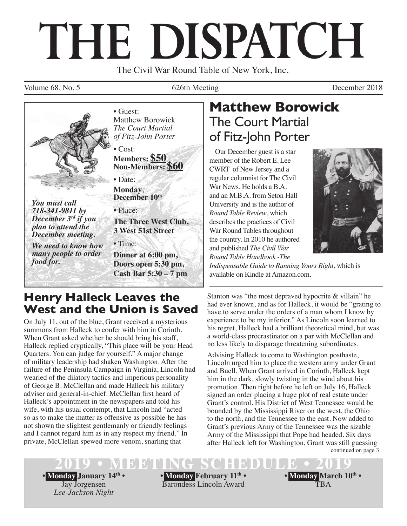# THE DISPATCH

The Civil War Round Table of New York, Inc.

Volume 68, No. 5 626th Meeting December 2018



*December meeting. We need to know how many people to order* 

*food for.*

• Guest: Matthew Borowick *The Court Martial of Fitz-John Porter*

• Cost: **Members: \$50 Non-Members: \$60**

• Date:

December  $10<sup>th</sup>$ 

• Place:

**The Three West Club, 3 West 51st Street** 

• Time:

**Dinner at 6:00 pm, Doors open 5:30 pm, Cash Bar 5:30 – 7 pm**

## **Henry Halleck Leaves the West and the Union is Saved**

On July 11, out of the blue, Grant received a mysterious summons from Halleck to confer with him in Corinth. When Grant asked whether he should bring his staff, Halleck replied cryptically, "This place will be your Head Quarters. You can judge for yourself." A major change of military leadership had shaken Washington. After the failure of the Peninsula Campaign in Virginia, Lincoln had wearied of the dilatory tactics and imperious personality of George B. McClellan and made Halleck his military adviser and general-in-chief. McClellan first heard of Halleck's appointment in the newspapers and told his wife, with his usual contempt, that Lincoln had "acted so as to make the matter as offensive as possible-he has not shown the slightest gentlemanly or friendly feelings and I cannot regard him as in any respect my friend." In private, McClellan spewed more venom, snarling that

# **Matthew Borowick** The Court Martial of Fitz-John Porter

Our December guest is a star member of the Robert E. Lee CWRT of New Jersey and a regular columnist for The Civil War News. He holds a B.A. and an M.B.A. from Seton Hall University and is the author of *Round Table Review*, which describes the practices of Civil War Round Tables throughout the country. In 2010 he authored and published *The Civil War Round Table Handbook -The* 



*Indispensable Guide to Running Yours Right*, which is available on Kindle at Amazon.com.

Stanton was "the most depraved hypocrite & villain" he had ever known, and as for Halleck, it would be "grating to have to serve under the orders of a man whom I know by experience to be my inferior." As Lincoln soon learned to his regret, Halleck had a brilliant theoretical mind, but was a world-class procrastinator on a par with McClellan and no less likely to disparage threatening subordinates.

Advising Halleck to come to Washington posthaste, Lincoln urged him to place the western army under Grant and Buell. When Grant arrived in Corinth, Halleck kept him in the dark, slowly twisting in the wind about his promotion. Then right before he left on July 16, Halleck signed an order placing a huge plot of real estate under Grant's control. His District of West Tennessee would be bounded by the Mississippi River on the west, the Ohio to the north, and the Tennessee to the east. Now added to Grant's previous Army of the Tennessee was the sizable Army of the Mississippi that Pope had headed. Six days after Halleck left for Washington, Grant was still guessing

continued on page 3

**2019 • MEETING SCHEDULE • 2019 • Monday January 14th •** Jay Jorgensen *Lee-Jackson Night*

**• Monday February 11th •** Barondess Lincoln Award

**• Monday March 10th •**  $\mathbf{\bar{\Gamma}}\mathbf{B} \mathbf{A}$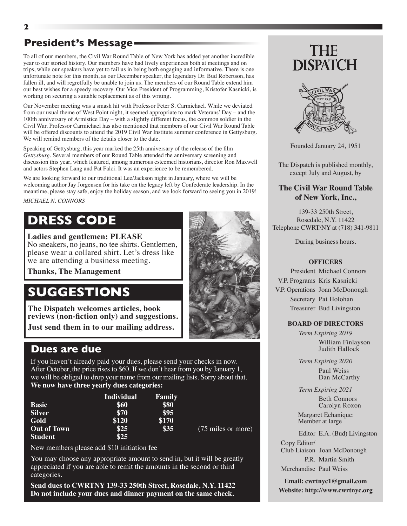## **President's Message**

To all of our members, the Civil War Round Table of New York has added yet another incredible year to our storied history. Our members have had lively experiences both at meetings and on trips, while our speakers have yet to fail us in being both engaging and informative. There is one unfortunate note for this month, as our December speaker, the legendary Dr. Bud Robertson, has fallen ill, and will regretfully be unable to join us. The members of our Round Table extend him our best wishes for a speedy recovery. Our Vice President of Programming, Kristofer Kasnicki, is working on securing a suitable replacement as of this writing.

Our November meeting was a smash hit with Professor Peter S. Carmichael. While we deviated from our usual theme of West Point night, it seemed appropriate to mark Veterans' Day – and the 100th anniversary of Armistice Day – with a slightly different focus, the common soldier in the Civil War. Professor Carmichael has also mentioned that members of our Civil War Round Table will be offered discounts to attend the 2019 Civil War Institute summer conference in Gettysburg. We will remind members of the details closer to the date.

Speaking of Gettysburg, this year marked the 25th anniversary of the release of the film *Gettysburg*. Several members of our Round Table attended the anniversary screening and discussion this year, which featured, among numerous esteemed historians, director Ron Maxwell and actors Stephen Lang and Pat Falci. It was an experience to be remembered.

We are looking forward to our traditional Lee/Jackson night in January, where we will be welcoming author Jay Jorgensen for his take on the legacy left by Confederate leadership. In the meantime, please stay safe, enjoy the holiday season, and we look forward to seeing you in 2019!

*MICHAEL N. CONNORS*

# **DRESS CODE**

**Ladies and gentlemen: PLEASE**

No sneakers, no jeans, no tee shirts. Gentlemen, please wear a collared shirt. Let's dress like we are attending a business meeting.

**Thanks, The Management**

# **SUGGESTIONS**

**The Dispatch welcomes articles, book reviews (non-fiction only) and suggestions. Just send them in to our mailing address.** 

### **Dues are due**

If you haven't already paid your dues, please send your checks in now. After October, the price rises to \$60. If we don't hear from you by January 1, we will be obliged to drop your name from our mailing lists. Sorry about that. **We now have three yearly dues categories:**

|                    | <b>Individual</b> | Family |                    |
|--------------------|-------------------|--------|--------------------|
| <b>Basic</b>       | \$60              | \$80   |                    |
| <b>Silver</b>      | \$70              | \$95   |                    |
| Gold               | \$120             | \$170  |                    |
| <b>Out of Town</b> | \$25              | \$35   | (75 miles or more) |
| <b>Student</b>     | \$25              |        |                    |

New members please add \$10 initiation fee

You may choose any appropriate amount to send in, but it will be greatly appreciated if you are able to remit the amounts in the second or third categories.

**Send dues to CWRTNY 139-33 250th Street, Rosedale, N.Y. 11422 Do not include your dues and dinner payment on the same check.**





Founded January 24, 1951

The Dispatch is published monthly, except July and August, by

**The Civil War Round Table of New York, Inc.,**

139-33 250th Street, Rosedale, N.Y. 11422 Telephone CWRT/NY at (718) 341-9811

During business hours.

#### **OFFICERS**

President Michael Connors V.P. Programs Kris Kasnicki V.P. Operations Joan McDonough Secretary Pat Holohan Treasurer Bud Livingston

#### **BOARD OF DIRECTORS**

*Term Expiring 2019* William Finlayson Judith Hallock

*Term Expiring 2020* Paul Weiss Dan McCarthy

*Term Expiring 2021*

 Beth Connors Carolyn Roxon

 Margaret Echanique: Member at large

Editor E.A. (Bud) Livingston Copy Editor/

Club Liaison Joan McDonough P.R. Martin Smith

Merchandise Paul Weiss

**Email: cwrtnyc1@gmail.com Website: http://www.cwrtnyc.org**

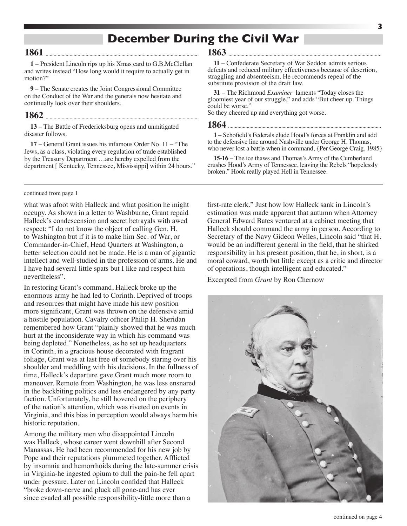## **December During the Civil War**

#### **1861**

**1** – President Lincoln rips up his Xmas card to G.B.McClellan and writes instead "How long would it require to actually get in motion?"

**9** – The Senate creates the Joint Congressional Committee on the Conduct of the War and the generals now hesitate and continually look over their shoulders.

#### **1862**

**13** – The Battle of Fredericksburg opens and unmitigated disaster follows.

**17** – General Grant issues his infamous Order No. 11 – "The Jews, as a class, violating every regulation of trade established by the Treasury Department …are hereby expelled from the department [ Kentucky, Tennessee, Mississippi] within 24 hours."

continued from page 1

what was afoot with Halleck and what position he might occupy. As shown in a letter to Washburne, Grant repaid Halleck's condescension and secret betrayals with awed respect: "I do not know the object of calling Gen. H. to Washington but if it is to make him Sec. of War, or Commander-in-Chief, Head Quarters at Washington, a better selection could not be made. He is a man of gigantic intellect and well-studied in the profession of arms. He and I have had several little spats but I like and respect him nevertheless".

In restoring Grant's command, Halleck broke up the enormous army he had led to Corinth. Deprived of troops and resources that might have made his new position more significant, Grant was thrown on the defensive amid a hostile population. Cavalry officer Philip H. Sheridan remembered how Grant "plainly showed that he was much hurt at the inconsiderate way in which his command was being depleted." Nonetheless, as he set up headquarters in Corinth, in a gracious house decorated with fragrant foliage, Grant was at last free of somebody staring over his shoulder and meddling with his decisions. In the fullness of time, Halleck's departure gave Grant much more room to maneuver. Remote from Washington, he was less ensnared in the backbiting politics and less endangered by any party faction. Unfortunately, he still hovered on the periphery of the nation's attention, which was riveted on events in Virginia, and this bias in perception would always harm his historic reputation.

Among the military men who disappointed Lincoln was Halleck, whose career went downhill after Second Manassas. He had been recommended for his new job by Pope and their reputations plummeted together. Afflicted by insomnia and hemorrhoids during the late-summer crisis in Virginia-he ingested opium to dull the pain-he fell apart under pressure. Later on Lincoln confided that Halleck "broke down-nerve and pluck all gone-and has ever since evaded all possible responsibility-little more than a

#### **1863**

**11** – Confederate Secretary of War Seddon admits serious defeats and reduced military effectiveness because of desertion, straggling and absenteeism. He recommends repeal of the substitute provision of the draft law.

**31** – The Richmond *Examiner* laments "Today closes the gloomiest year of our struggle," and adds "But cheer up. Things could be worse."

So they cheered up and everything got worse.

#### **1864**

**1** – Schofield's Federals elude Hood's forces at Franklin and add to the defensive line around Nashville under George H. Thomas, who never lost a battle when in command, {Per George Craig, 1985}

**15-16** – The ice thaws and Thomas's Army of the Cumberland crushes Hood's Army of Tennessee, leaving the Rebels "hopelessly broken." Hook really played Hell in Tennessee.

first-rate clerk." Just how low Halleck sank in Lincoln's estimation was made apparent that autumn when Attorney General Edward Bates ventured at a cabinet meeting that Halleck should command the army in person. According to Secretary of the Navy Gideon Welles, Lincoln said "that H. would be an indifferent general in the field, that he shirked responsibility in his present position, that he, in short, is a moral coward, worth but little except as a critic and director of operations, though intelligent and educated."

Excerpted from *Grant* by Ron Chernow